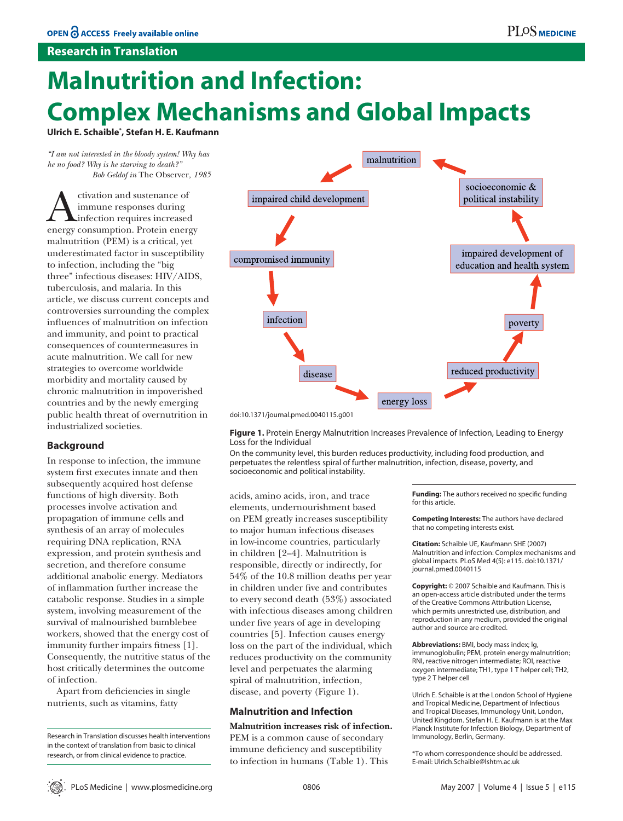## **Research in Translation**

# **Malnutrition and Infection: Complex Mechanisms and Global Impacts**

**Ulrich E. Schaible\* , Stefan H. E. Kaufmann**

*"I am not interested in the bloody system! Why has he no food? Why is he starving to death?" Bob Geldof in* The Observer*, 1985*

ctivation and sustenance of immune responses during infection requires increased energy consumption. Protein energy malnutrition (PEM) is a critical, yet underestimated factor in susceptibility to infection, including the "big three" infectious diseases: HIV/AIDS, tuberculosis, and malaria. In this article, we discuss current concepts and controversies surrounding the complex influences of malnutrition on infection and immunity, and point to practical consequences of countermeasures in acute malnutrition. We call for new strategies to overcome worldwide morbidity and mortality caused by chronic malnutrition in impoverished countries and by the newly emerging public health threat of overnutrition in industrialized societies.

#### **Background**

In response to infection, the immune system first executes innate and then subsequently acquired host defense functions of high diversity. Both processes involve activation and propagation of immune cells and synthesis of an array of molecules requiring DNA replication, RNA expression, and protein synthesis and secretion, and therefore consume additional anabolic energy. Mediators of inflammation further increase the catabolic response. Studies in a simple system, involving measurement of the survival of malnourished bumblebee workers, showed that the energy cost of immunity further impairs fitness [1]. Consequently, the nutritive status of the host critically determines the outcome of infection.

Apart from deficiencies in single nutrients, such as vitamins, fatty

Research in Translation discusses health interventions in the context of translation from basic to clinical research, or from clinical evidence to practice.



doi:10.1371/journal.pmed.0040115.g001

Figure 1. Protein Energy Malnutrition Increases Prevalence of Infection, Leading to Energy Loss for the Individual

On the community level, this burden reduces productivity, including food production, and perpetuates the relentless spiral of further malnutrition, infection, disease, poverty, and socioeconomic and political instability.

acids, amino acids, iron, and trace elements, undernourishment based on PEM greatly increases susceptibility to major human infectious diseases in low-income countries, particularly in children [2–4]. Malnutrition is responsible, directly or indirectly, for 54% of the 10.8 million deaths per year in children under five and contributes to every second death (53%) associated with infectious diseases among children under five years of age in developing countries [5]. Infection causes energy loss on the part of the individual, which reduces productivity on the community level and perpetuates the alarming spiral of malnutrition, infection, disease, and poverty (Figure 1).

#### **Malnutrition and Infection**

PEM is a common cause of secondary immune deficiency and susceptibility to infection in humans (Table 1). This

**Funding:** The authors received no specific funding for this article.

**Competing Interests:** The authors have declared that no competing interests exist.

**Citation:** Schaible UE, Kaufmann SHE (2007) Malnutrition and infection: Complex mechanisms and global impacts. PLoS Med 4(5): e115. doi:10.1371/ journal.pmed.0040115

**Copyright:** © 2007 Schaible and Kaufmann. This is an open-access article distributed under the terms of the Creative Commons Attribution License, which permits unrestricted use, distribution, and reproduction in any medium, provided the original author and source are credited.

**Abbreviations:** BMI, body mass index; lg, immunoglobulin; PEM, protein energy malnutrition; RNI, reactive nitrogen intermediate; ROI, reactive oxygen intermediate; TH1, type 1 T helper cell; TH2, type 2 T helper cell

Ulrich E. Schaible is at the London School of Hygiene and Tropical Medicine, Department of Infectious and Tropical Diseases, Immunology Unit, London, United Kingdom. Stefan H. E. Kaufmann is at the Max Planck Institute for Infection Biology, Department of Immunology, Berlin, Germany.

\*To whom correspondence should be addressed. E-mail: Ulrich.Schaible@lshtm.ac.uk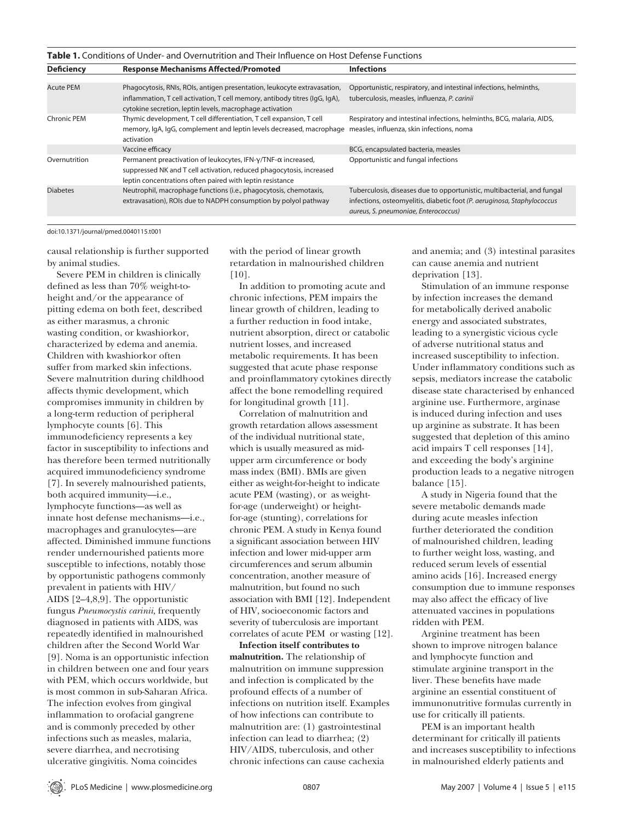| Table 1. Conditions of Under- and Overnutrition and Their Influence on Host Defense Functions |                                                                                                                                                                                                                     |                                                                                                                                                                                            |
|-----------------------------------------------------------------------------------------------|---------------------------------------------------------------------------------------------------------------------------------------------------------------------------------------------------------------------|--------------------------------------------------------------------------------------------------------------------------------------------------------------------------------------------|
| <b>Deficiency</b>                                                                             | <b>Response Mechanisms Affected/Promoted</b>                                                                                                                                                                        | <b>Infections</b>                                                                                                                                                                          |
| <b>Acute PEM</b>                                                                              | Phagocytosis, RNIs, ROIs, antigen presentation, leukocyte extravasation,<br>inflammation, T cell activation, T cell memory, antibody titres (IgG, IgA),<br>cytokine secretion, leptin levels, macrophage activation | Opportunistic, respiratory, and intestinal infections, helminths,<br>tuberculosis, measles, influenza, P. carinii                                                                          |
| Chronic PEM                                                                                   | Thymic development, T cell differentiation, T cell expansion, T cell<br>memory, IgA, IgG, complement and leptin levels decreased, macrophage<br>activation                                                          | Respiratory and intestinal infections, helminths, BCG, malaria, AIDS,<br>measles, influenza, skin infections, noma                                                                         |
|                                                                                               | Vaccine efficacy                                                                                                                                                                                                    | BCG, encapsulated bacteria, measles                                                                                                                                                        |
| Overnutrition                                                                                 | Permanent preactivation of leukocytes, IFN-Y/TNF-a increased,<br>suppressed NK and T cell activation, reduced phagocytosis, increased<br>leptin concentrations often paired with leptin resistance                  | Opportunistic and fungal infections                                                                                                                                                        |
| <b>Diabetes</b>                                                                               | Neutrophil, macrophage functions (i.e., phagocytosis, chemotaxis,<br>extravasation), ROIs due to NADPH consumption by polyol pathway                                                                                | Tuberculosis, diseases due to opportunistic, multibacterial, and fungal<br>infections, osteomyelitis, diabetic foot (P. aeruginosa, Staphylococcus<br>aureus, S. pneumoniae, Enterococcus) |

doi:10.1371/journal/pmed.0040115.t001

causal relationship is further supported by animal studies.

Severe PEM in children is clinically defined as less than 70% weight-toheight and/or the appearance of pitting edema on both feet, described as either marasmus, a chronic wasting condition, or kwashiorkor, characterized by edema and anemia. Children with kwashiorkor often suffer from marked skin infections. Severe malnutrition during childhood affects thymic development, which compromises immunity in children by a long-term reduction of peripheral lymphocyte counts [6]. This immunodeficiency represents a key factor in susceptibility to infections and has therefore been termed nutritionally acquired immunodeficiency syndrome [7]. In severely malnourished patients, both acquired immunity—i.e., lymphocyte functions—as well as innate host defense mechanisms—i.e., macrophages and granulocytes—are affected. Diminished immune functions render undernourished patients more susceptible to infections, notably those by opportunistic pathogens commonly prevalent in patients with HIV/ AIDS [2–4,8,9]. The opportunistic fungus *Pneumocystis carinii,* frequently diagnosed in patients with AIDS, was repeatedly identified in malnourished children after the Second World War [9]. Noma is an opportunistic infection in children between one and four years with PEM, which occurs worldwide, but is most common in sub-Saharan Africa. The infection evolves from gingival inflammation to orofacial gangrene and is commonly preceded by other infections such as measles, malaria, severe diarrhea, and necrotising ulcerative gingivitis. Noma coincides

with the period of linear growth retardation in malnourished children [10].

In addition to promoting acute and chronic infections, PEM impairs the linear growth of children, leading to a further reduction in food intake, nutrient absorption, direct or catabolic nutrient losses, and increased metabolic requirements. It has been suggested that acute phase response and proinflammatory cytokines directly affect the bone remodelling required for longitudinal growth [11].

Correlation of malnutrition and growth retardation allows assessment of the individual nutritional state, which is usually measured as midupper arm circumference or body mass index (BMI). BMIs are given either as weight-for-height to indicate acute PEM (wasting), or as weightfor-age (underweight) or heightfor-age (stunting), correlations for chronic PEM. A study in Kenya found a significant association between HIV infection and lower mid-upper arm circumferences and serum albumin concentration, another measure of malnutrition, but found no such association with BMI [12]. Independent of HIV, socioeconomic factors and severity of tuberculosis are important correlates of acute PEM or wasting [12].

**Industrian infection**<br> **Malnutrition** on **immune** suppress malnutrition on immune suppression and infection is complicated by the profound effects of a number of infections on nutrition itself. Examples of how infections can contribute to malnutrition are: (1) gastrointestinal infection can lead to diarrhea; (2) HIV/AIDS, tuberculosis, and other chronic infections can cause cachexia

and anemia; and (3) intestinal parasites can cause anemia and nutrient deprivation [13].

Stimulation of an immune response by infection increases the demand for metabolically derived anabolic energy and associated substrates, leading to a synergistic vicious cycle of adverse nutritional status and increased susceptibility to infection. Under inflammatory conditions such as sepsis, mediators increase the catabolic disease state characterised by enhanced arginine use. Furthermore, arginase is induced during infection and uses up arginine as substrate. It has been suggested that depletion of this amino acid impairs T cell responses [14], and exceeding the body's arginine production leads to a negative nitrogen balance [15].

A study in Nigeria found that the severe metabolic demands made during acute measles infection further deteriorated the condition of malnourished children, leading to further weight loss, wasting, and reduced serum levels of essential amino acids [16]. Increased energy consumption due to immune responses may also affect the efficacy of live attenuated vaccines in populations ridden with PEM.

Arginine treatment has been shown to improve nitrogen balance and lymphocyte function and stimulate arginine transport in the liver. These benefits have made arginine an essential constituent of immunonutritive formulas currently in use for critically ill patients.

PEM is an important health determinant for critically ill patients and increases susceptibility to infections in malnourished elderly patients and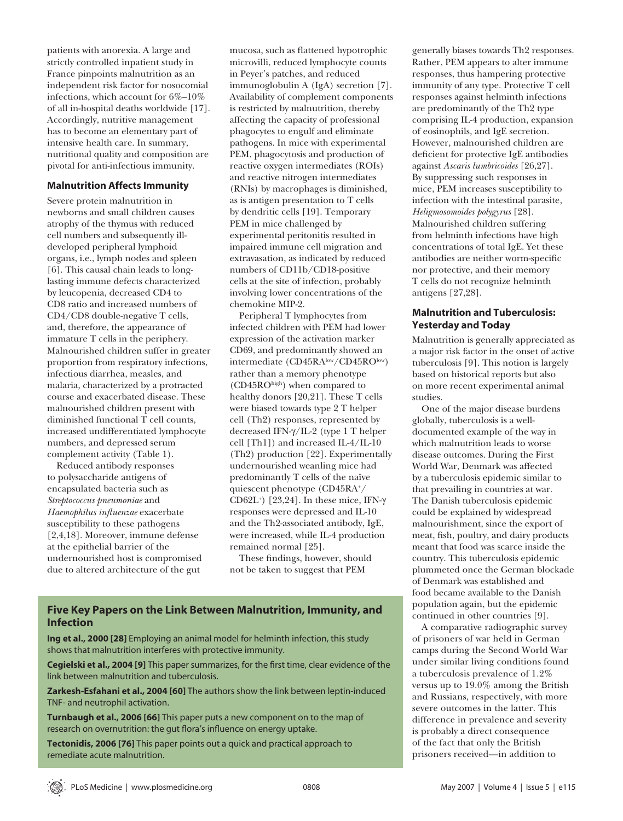patients with anorexia. A large and strictly controlled inpatient study in France pinpoints malnutrition as an independent risk factor for nosocomial infections, which account for 6%–10% of all in-hospital deaths worldwide [17]. Accordingly, nutritive management has to become an elementary part of intensive health care. In summary, nutritional quality and composition are pivotal for anti-infectious immunity.

#### **Malnutrition Affects Immunity**

Severe protein malnutrition in newborns and small children causes atrophy of the thymus with reduced cell numbers and subsequently illdeveloped peripheral lymphoid organs, i.e., lymph nodes and spleen [6]. This causal chain leads to longlasting immune defects characterized by leucopenia, decreased CD4 to CD8 ratio and increased numbers of CD4/CD8 double-negative T cells, and, therefore, the appearance of immature T cells in the periphery. Malnourished children suffer in greater proportion from respiratory infections, infectious diarrhea, measles, and malaria, characterized by a protracted course and exacerbated disease. These malnourished children present with diminished functional T cell counts, increased undifferentiated lymphocyte numbers, and depressed serum complement activity (Table 1).

Reduced antibody responses to polysaccharide antigens of encapsulated bacteria such as *Streptococcus pneumoniae* and *Haemophilus infl uenzae* exacerbate susceptibility to these pathogens [2,4,18]. Moreover, immune defense at the epithelial barrier of the undernourished host is compromised due to altered architecture of the gut

mucosa, such as flattened hypotrophic microvilli, reduced lymphocyte counts in Peyer's patches, and reduced immunoglobulin A (IgA) secretion [7]. Availability of complement components is restricted by malnutrition, thereby affecting the capacity of professional phagocytes to engulf and eliminate pathogens. In mice with experimental PEM, phagocytosis and production of reactive oxygen intermediates (ROIs) and reactive nitrogen intermediates (RNIs) by macrophages is diminished, as is antigen presentation to T cells by dendritic cells [19]. Temporary PEM in mice challenged by experimental peritonitis resulted in impaired immune cell migration and extravasation, as indicated by reduced numbers of CD11b/CD18-positive cells at the site of infection, probably involving lower concentrations of the chemokine MIP-2.

Peripheral T lymphocytes from infected children with PEM had lower expression of the activation marker CD69, and predominantly showed an intermediate (CD45RAlow/CD45ROlow) rather than a memory phenotype (CD45ROhigh) when compared to healthy donors [20,21]. These T cells were biased towards type 2 T helper cell (Th2) responses, represented by decreased IFN-γ/IL-2 (type 1 T helper cell [Th1]) and increased IL-4/IL-10 (Th2) production [22]. Experimentally undernourished weanling mice had predominantly T cells of the naïve quiescent phenotype (CD45RA+ / CD62L+ ) [23,24]. In these mice, IFN-γ responses were depressed and IL-10 and the Th2-associated antibody, IgE, were increased, while IL-4 production remained normal [25].

These findings, however, should not be taken to suggest that PEM

### **Five Key Papers on the Link Between Malnutrition, Immunity, and Infection**

**Ing et al., 2000 [28]** Employing an animal model for helminth infection, this study shows that malnutrition interferes with protective immunity.

**Cegielski et al., 2004 [9]** This paper summarizes, for the first time, clear evidence of the link between malnutrition and tuberculosis.

**Zarkesh-Esfahani et al., 2004 [60]** The authors show the link between leptin-induced TNF- and neutrophil activation.

**Turnbaugh et al., 2006 [66]** This paper puts a new component on to the map of research on overnutrition: the gut flora's influence on energy uptake.

**Tectonidis, 2006 [76]** This paper points out a quick and practical approach to remediate acute malnutrition.

generally biases towards Th2 responses. Rather, PEM appears to alter immune responses, thus hampering protective immunity of any type. Protective T cell responses against helminth infections are predominantly of the Th2 type comprising IL-4 production, expansion of eosinophils, and IgE secretion. However, malnourished children are deficient for protective IgE antibodies against *Ascaris lumbricoides* [26,27]. By suppressing such responses in mice, PEM increases susceptibility to infection with the intestinal parasite, *Heligmosomoides polygyrus* [28]. Malnourished children suffering from helminth infections have high concentrations of total IgE. Yet these antibodies are neither worm-specific nor protective, and their memory T cells do not recognize helminth antigens [27,28].

### **Malnutrition and Tuberculosis: Yesterday and Today**

Malnutrition is generally appreciated as a major risk factor in the onset of active tuberculosis [9]. This notion is largely based on historical reports but also on more recent experimental animal studies.

One of the major disease burdens globally, tuberculosis is a welldocumented example of the way in which malnutrition leads to worse disease outcomes. During the First World War, Denmark was affected by a tuberculosis epidemic similar to that prevailing in countries at war. The Danish tuberculosis epidemic could be explained by widespread malnourishment, since the export of meat, fish, poultry, and dairy products meant that food was scarce inside the country. This tuberculosis epidemic plummeted once the German blockade of Denmark was established and food became available to the Danish population again, but the epidemic continued in other countries [9].

A comparative radiographic survey of prisoners of war held in German camps during the Second World War under similar living conditions found a tuberculosis prevalence of 1.2% versus up to 19.0% among the British and Russians, respectively, with more severe outcomes in the latter. This difference in prevalence and severity is probably a direct consequence of the fact that only the British prisoners received—in addition to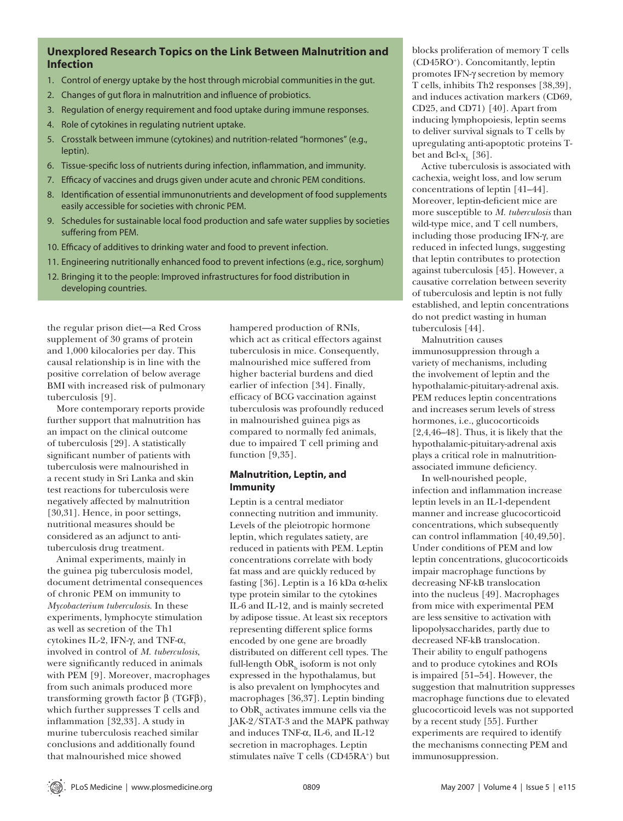### **Unexplored Research Topics on the Link Between Malnutrition and Infection**

- 1. Control of energy uptake by the host through microbial communities in the gut.
- 2. Changes of gut flora in malnutrition and influence of probiotics.
- 3. Regulation of energy requirement and food uptake during immune responses.
- 4. Role of cytokines in regulating nutrient uptake.
- 5. Crosstalk between immune (cytokines) and nutrition-related "hormones" (e.g., leptin).
- 6. Tissue-specific loss of nutrients during infection, inflammation, and immunity.
- 7. Efficacy of vaccines and drugs given under acute and chronic PEM conditions.
- 8. Identification of essential immunonutrients and development of food supplements easily accessible for societies with chronic PEM.
- 9. Schedules for sustainable local food production and safe water supplies by societies suffering from PEM.
- 10. Efficacy of additives to drinking water and food to prevent infection.
- 11. Engineering nutritionally enhanced food to prevent infections (e.g., rice, sorghum)
- 12. Bringing it to the people: Improved infrastructures for food distribution in developing countries.

the regular prison diet—a Red Cross supplement of 30 grams of protein and 1,000 kilocalories per day. This causal relationship is in line with the positive correlation of below average BMI with increased risk of pulmonary tuberculosis [9].

More contemporary reports provide further support that malnutrition has an impact on the clinical outcome of tuberculosis [29]. A statistically significant number of patients with tuberculosis were malnourished in a recent study in Sri Lanka and skin test reactions for tuberculosis were negatively affected by malnutrition [30,31]. Hence, in poor settings, nutritional measures should be considered as an adjunct to antituberculosis drug treatment.

Animal experiments, mainly in the guinea pig tuberculosis model, document detrimental consequences of chronic PEM on immunity to *Mycobacterium tuberculosis*. In these experiments, lymphocyte stimulation as well as secretion of the Th1 cytokines IL-2, IFN-γ, and TNF-α, involved in control of *M. tuberculosis*, were significantly reduced in animals with PEM [9]. Moreover, macrophages from such animals produced more transforming growth factor β (TGFβ), which further suppresses T cells and inflammation [32,33]. A study in murine tuberculosis reached similar conclusions and additionally found that malnourished mice showed

hampered production of RNIs, which act as critical effectors against tuberculosis in mice. Consequently, malnourished mice suffered from higher bacterial burdens and died earlier of infection [34]. Finally, efficacy of BCG vaccination against tuberculosis was profoundly reduced in malnourished guinea pigs as compared to normally fed animals, due to impaired T cell priming and function [9,35].

### **Malnutrition, Leptin, and Immunity**

Leptin is a central mediator connecting nutrition and immunity. Levels of the pleiotropic hormone leptin, which regulates satiety, are reduced in patients with PEM. Leptin concentrations correlate with body fat mass and are quickly reduced by fasting [36]. Leptin is a 16 kDa α-helix type protein similar to the cytokines IL-6 and IL-12, and is mainly secreted by adipose tissue. At least six receptors representing different splice forms encoded by one gene are broadly distributed on different cell types. The full-length  $\mathrm{ObR}_{\mathrm{b}}$  isoform is not only expressed in the hypothalamus, but is also prevalent on lymphocytes and macrophages [36,37]. Leptin binding to Ob $R_{\rm b}$  activates immune cells via the JAK-2/STAT-3 and the MAPK pathway and induces TNF-α, IL-6, and IL-12 secretion in macrophages. Leptin stimulates naïve T cells (CD45RA<sup>+</sup>) but blocks proliferation of memory T cells (CD45RO+ ). Concomitantly, leptin promotes IFN-γ secretion by memory T cells, inhibits Th2 responses [38,39], and induces activation markers (CD69, CD25, and CD71) [40]. Apart from inducing lymphopoiesis, leptin seems to deliver survival signals to T cells by upregulating anti-apoptotic proteins Tbet and Bcl- $x_{i}$  [36].

Active tuberculosis is associated with cachexia, weight loss, and low serum concentrations of leptin [41–44]. Moreover, leptin-deficient mice are more susceptible to *M. tuberculosis* than wild-type mice, and T cell numbers, including those producing IFN-γ, are reduced in infected lungs, suggesting that leptin contributes to protection against tuberculosis [45]. However, a causative correlation between severity of tuberculosis and leptin is not fully established, and leptin concentrations do not predict wasting in human tuberculosis [44].

Malnutrition causes immunosuppression through a variety of mechanisms, including the involvement of leptin and the hypothalamic-pituitary-adrenal axis. PEM reduces leptin concentrations and increases serum levels of stress hormones, i.e., glucocorticoids  $[2,4,46-48]$ . Thus, it is likely that the hypothalamic-pituitary-adrenal axis plays a critical role in malnutritionassociated immune deficiency.

In well-nourished people, infection and inflammation increase leptin levels in an IL-1-dependent manner and increase glucocorticoid concentrations, which subsequently can control inflammation  $[40, 49, 50]$ . Under conditions of PEM and low leptin concentrations, glucocorticoids impair macrophage functions by decreasing NF-kB translocation into the nucleus [49]. Macrophages from mice with experimental PEM are less sensitive to activation with lipopolysaccharides, partly due to decreased NF-kB translocation. Their ability to engulf pathogens and to produce cytokines and ROIs is impaired [51–54]. However, the suggestion that malnutrition suppresses macrophage functions due to elevated glucocorticoid levels was not supported by a recent study [55]. Further experiments are required to identify the mechanisms connecting PEM and immunosuppression.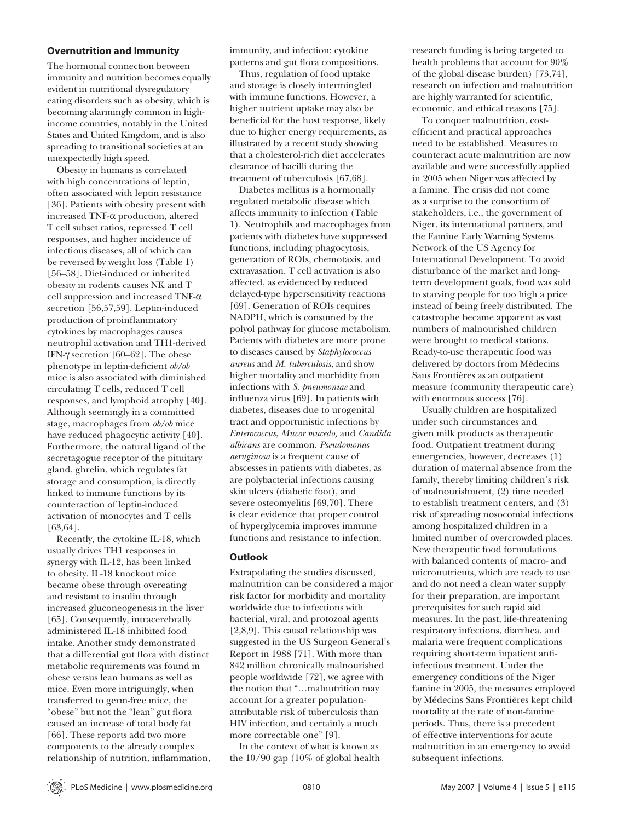#### **Overnutrition and Immunity**

The hormonal connection between immunity and nutrition becomes equally evident in nutritional dysregulatory eating disorders such as obesity, which is becoming alarmingly common in highincome countries, notably in the United States and United Kingdom, and is also spreading to transitional societies at an unexpectedly high speed.

Obesity in humans is correlated with high concentrations of leptin, often associated with leptin resistance [36]. Patients with obesity present with increased TNF-α production, altered T cell subset ratios, repressed T cell responses, and higher incidence of infectious diseases, all of which can be reversed by weight loss (Table 1) [56–58]. Diet-induced or inherited obesity in rodents causes NK and T cell suppression and increased TNF-α secretion [56,57,59]. Leptin-induced production of proinflammatory cytokines by macrophages causes neutrophil activation and TH1-derived IFN-γ secretion [60–62]. The obese phenotype in leptin-deficient  $ob/ob$ mice is also associated with diminished circulating T cells, reduced T cell responses, and lymphoid atrophy [40]. Although seemingly in a committed stage, macrophages from *ob/ob* mice have reduced phagocytic activity [40]. Furthermore, the natural ligand of the secretagogue receptor of the pituitary gland, ghrelin, which regulates fat storage and consumption, is directly linked to immune functions by its counteraction of leptin-induced activation of monocytes and T cells [63,64].

Recently, the cytokine IL-18, which usually drives TH1 responses in synergy with IL-12, has been linked to obesity. IL-18 knockout mice became obese through overeating and resistant to insulin through increased gluconeogenesis in the liver [65]. Consequently, intracerebrally administered IL-18 inhibited food intake. Another study demonstrated that a differential gut flora with distinct metabolic requirements was found in obese versus lean humans as well as mice. Even more intriguingly, when transferred to germ-free mice, the "obese" but not the "lean" gut flora caused an increase of total body fat [66]. These reports add two more components to the already complex relationship of nutrition, inflammation,

immunity, and infection: cytokine patterns and gut flora compositions.

Thus, regulation of food uptake and storage is closely intermingled with immune functions. However, a higher nutrient uptake may also be beneficial for the host response, likely due to higher energy requirements, as illustrated by a recent study showing that a cholesterol-rich diet accelerates clearance of bacilli during the treatment of tuberculosis [67,68].

Diabetes mellitus is a hormonally regulated metabolic disease which affects immunity to infection (Table 1). Neutrophils and macrophages from patients with diabetes have suppressed functions, including phagocytosis, generation of ROIs, chemotaxis, and extravasation. T cell activation is also affected, as evidenced by reduced delayed-type hypersensitivity reactions [69]. Generation of ROIs requires NADPH, which is consumed by the polyol pathway for glucose metabolism. Patients with diabetes are more prone to diseases caused by *Staphylococcus aureus* and *M. tuberculosis*, and show higher mortality and morbidity from infections with *S. pneumoniae* and influenza virus [69]. In patients with diabetes, diseases due to urogenital tract and opportunistic infections by *Enterococcus*, *Mucor mucedo,* and *Candida albicans* are common. *Pseudomonas aeruginosa* is a frequent cause of abscesses in patients with diabetes, as are polybacterial infections causing skin ulcers (diabetic foot), and severe osteomyelitis [69,70]. There is clear evidence that proper control of hyperglycemia improves immune functions and resistance to infection.

### **Outlook**

Extrapolating the studies discussed, malnutrition can be considered a major risk factor for morbidity and mortality worldwide due to infections with bacterial, viral, and protozoal agents [2,8,9]. This causal relationship was suggested in the US Surgeon General's Report in 1988 [71]. With more than 842 million chronically malnourished people worldwide [72], we agree with the notion that "…malnutrition may account for a greater populationattributable risk of tuberculosis than HIV infection, and certainly a much more correctable one" [9].

In the context of what is known as the 10/90 gap (10% of global health research funding is being targeted to health problems that account for 90% of the global disease burden) [73,74], research on infection and malnutrition are highly warranted for scientific, economic, and ethical reasons [75].

To conquer malnutrition, costefficient and practical approaches need to be established. Measures to counteract acute malnutrition are now available and were successfully applied in 2005 when Niger was affected by a famine. The crisis did not come as a surprise to the consortium of stakeholders, i.e., the government of Niger, its international partners, and the Famine Early Warning Systems Network of the US Agency for International Development. To avoid disturbance of the market and longterm development goals, food was sold to starving people for too high a price instead of being freely distributed. The catastrophe became apparent as vast numbers of malnourished children were brought to medical stations. Ready-to-use therapeutic food was delivered by doctors from Médecins Sans Frontières as an outpatient measure (community therapeutic care) with enormous success [76].

Usually children are hospitalized under such circumstances and given milk products as therapeutic food. Outpatient treatment during emergencies, however, decreases (1) duration of maternal absence from the family, thereby limiting children's risk of malnourishment, (2) time needed to establish treatment centers, and (3) risk of spreading nosocomial infections among hospitalized children in a limited number of overcrowded places. New therapeutic food formulations with balanced contents of macro- and micronutrients, which are ready to use and do not need a clean water supply for their preparation, are important prerequisites for such rapid aid measures. In the past, life-threatening respiratory infections, diarrhea, and malaria were frequent complications requiring short-term inpatient antiinfectious treatment. Under the emergency conditions of the Niger famine in 2005, the measures employed by Médecins Sans Frontières kept child mortality at the rate of non-famine periods. Thus, there is a precedent of effective interventions for acute malnutrition in an emergency to avoid subsequent infections.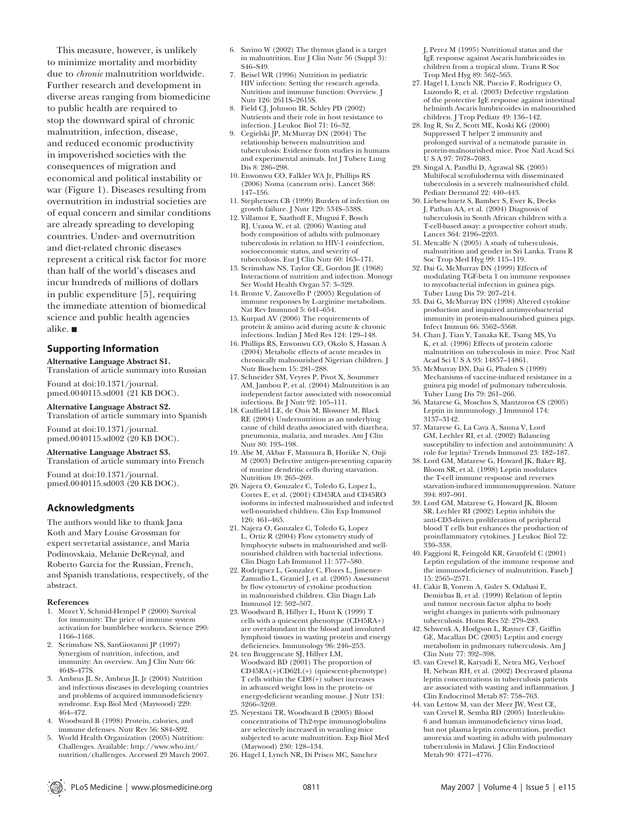This measure, however, is unlikely to minimize mortality and morbidity due to *chronic* malnutrition worldwide. Further research and development in diverse areas ranging from biomedicine to public health are required to stop the downward spiral of chronic malnutrition, infection, disease, and reduced economic productivity in impoverished societies with the consequences of migration and economical and political instability or war (Figure 1). Diseases resulting from overnutrition in industrial societies are of equal concern and similar conditions are already spreading to developing countries. Under- and overnutrition and diet-related chronic diseases represent a critical risk factor for more than half of the world's diseases and incur hundreds of millions of dollars in public expenditure [5], requiring the immediate attention of biomedical science and public health agencies alike.

#### **Supporting Information**

Translation of article summary into Russian

Found at doi:10.1371/journal. pmed.0040115.sd001 (21 KB DOC).

**Alternative Language Abstract S2.**  Translation of article summary into Spanish

Found at doi:10.1371/journal. pmed.0040115.sd002 (20 KB DOC).

**Alternative Language Abstract S3.**  Translation of article summary into French

Found at doi:10.1371/journal. pmed.0040115.sd003 (20 KB DOC).

#### **Acknowledgments**

The authors would like to thank Jana Koth and Mary Louise Grossman for expert secretarial assistance, and Maria Podinovskaia, Melanie DeReynal, and Roberto Garcia for the Russian, French, and Spanish translations, respectively, of the abstract.

- 1. Moret Y, Schmid-Hempel P (2000) Survival for immunity: The price of immune system activation for bumblebee workers. Science 290: 1166–1168.
- 2. Scrimshaw NS, SanGiovanni JP (1997) Synergism of nutrition, infection, and immunity: An overview. Am J Clin Nutr 66: 464S–477S.
- 3. Ambrus JL Sr, Ambrus JL Jr (2004) Nutrition and infectious diseases in developing countries and problems of acquired immunodeficiency syndrome. Exp Biol Med (Maywood) 229: 464–472.
- 4. Woodward B (1998) Protein, calories, and immune defenses. Nutr Rev 56: S84–S92.
- 5. World Health Organization (2005) Nutrition: Challenges. Available: http://www.who.int/ nutrition/challenges. Accessed 29 March 2007.
- 6. Savino W (2002) The thymus gland is a target in malnutrition. Eur J Clin Nutr 56 (Suppl 3): S46–S49.
- 7. Beisel WR (1996) Nutrition in pediatric HIV infection: Setting the research agenda. Nutrition and immune function: Overview. J Nutr 126: 2611S–2615S.
- 8. Field CJ, Johnson IR, Schley PD (2002) Nutrients and their role in host resistance to infection. J Leukoc Biol 71: 16–32.
- 9. Cegielski JP, McMurray DN (2004) The relationship between malnutrition and tuberculosis: Evidence from studies in humans and experimental animals. Int J Tuberc Lung Dis 8: 286–298.
- 10. Enwonwu CO, Falkler WA Jr, Phillips RS (2006) Noma (cancrum oris). Lancet 368: 147–156.
- 11. Stephensen CB (1999) Burden of infection on growth failure. J Nutr 129: 534S–538S.
- 12. Villamor E, Saathoff E, Mugusi F, Bosch RJ, Urassa W, et al. (2006) Wasting and body composition of adults with pulmonary tuberculosis in relation to HIV-1 coinfection, socioeconomic status, and severity of tuberculosis. Eur J Clin Nutr 60: 163–171.
- 13. Scrimshaw NS, Taylor CE, Gordon JE (1968) Interactions of nutrition and infection. Monogr Ser World Health Organ 57: 3–329.
- 14. Bronte V, Zanovello P (2005) Regulation of immune responses by L-arginine metabolism. Nat Rev Immunol 5: 641–654.
- 15. Kurpad AV (2006) The requirements of protein & amino acid during acute & chronic infections. Indian J Med Res 124: 129–148.
- 16. Phillips RS, Enwonwu CO, Okolo S, Hassan A (2004) Metabolic effects of acute measles in chronically malnourished Nigerian children. J Nutr Biochem 15: 281–288.
- 17. Schneider SM, Veyres P, Pivot X, Soummer AM, Jambou P, et al. (2004) Malnutrition is an independent factor associated with nosocomial infections. Br J Nutr 92: 105–111.
- 18. Caulfield LE, de Onis M, Blossner M, Black RE (2004) Undernutrition as an underlying cause of child deaths associated with diarrhea, pneumonia, malaria, and measles. Am J Clin Nutr 80: 193–198.
- 19. Abe M, Akbar F, Matsuura B, Horiike N, Onji M (2003) Defective antigen-presenting capacity of murine dendritic cells during starvation. Nutrition 19: 265–269.
- 20. Najera O, Gonzalez C, Toledo G, Lopez L, Cortes E, et al. (2001) CD45RA and CD45RO isoforms in infected malnourished and infected well-nourished children. Clin Exp Immunol 126: 461–465.
- 21. Najera O, Gonzalez C, Toledo G, Lopez L, Ortiz R (2004) Flow cytometry study of lymphocyte subsets in malnourished and wellnourished children with bacterial infections. Clin Diagn Lab Immunol 11: 577–580.
- 22. Rodriguez L, Gonzalez C, Flores L, Jimenez-Zamudio L, Graniel J, et al. (2005) Assessment by flow cytometry of cytokine production in malnourished children. Clin Diagn Lab Immunol 12: 502–507.
- 23. Woodward B, Hillyer L, Hunt K (1999) T cells with a quiescent phenotype (CD45RA+) are overabundant in the blood and involuted lymphoid tissues in wasting protein and energy deficiencies. Immunology 96: 246-253.
- 24. ten Bruggencate SJ, Hillyer LM, Woodward BD (2001) The proportion of  $CD45RA(+)CD62L(+)$  (quiescent-phenotype) T cells within the CD8(+) subset increases in advanced weight loss in the protein- or energy-deficient weanling mouse. J Nutr 131: 3266–3269.
- 25. Neyestani TR, Woodward B (2005) Blood concentrations of Th2-type immunoglobulins are selectively increased in weanling mice subjected to acute malnutrition. Exp Biol Med (Maywood) 230: 128–134.
- 26. Hagel I, Lynch NR, Di Prisco MC, Sanchez

J, Perez M (1995) Nutritional status and the IgE response against Ascaris lumbricoides in children from a tropical slum. Trans R Soc Trop Med Hyg 89: 562–565.

- 27. Hagel I, Lynch NR, Puccio F, Rodriguez O, Luzondo R, et al. (2003) Defective regulation of the protective IgE response against intestinal helminth Ascaris lumbricoides in malnourished children. J Trop Pediatr 49: 136–142.
- 28. Ing R, Su Z, Scott ME, Koski KG (2000) Suppressed T helper 2 immunity and prolonged survival of a nematode parasite in protein-malnourished mice. Proc Natl Acad Sci U S A 97: 7078–7083.
- 29. Singal A, Pandhi D, Agrawal SK (2005) Multifocal scrofuloderma with disseminated tuberculosis in a severely malnourished child. Pediatr Dermatol 99: 440-443.
- 30. Liebeschuetz S, Bamber S, Ewer K, Deeks J, Pathan AA, et al. (2004) Diagnosis of tuberculosis in South African children with a T-cell-based assay: a prospective cohort study. Lancet 364: 2196–2203.
- 31. Metcalfe N (2005) A study of tuberculosis, malnutrition and gender in Sri Lanka. Trans R Soc Trop Med Hyg 99: 115–119.
- 32. Dai G, McMurray DN (1999) Effects of modulating TGF-beta 1 on immune responses to mycobacterial infection in guinea pigs. Tuber Lung Dis 79: 207–214.
- 33. Dai G, McMurray DN (1998) Altered cytokine production and impaired antimycobacterial immunity in protein-malnourished guinea pigs. Infect Immun 66: 3562–3568.
- 34. Chan J, Tian Y, Tanaka KE, Tsang MS, Yu K, et al. (1996) Effects of protein calorie malnutrition on tuberculosis in mice. Proc Natl Acad Sci U S A 93: 14857–14861.
- 35. McMurray DN, Dai G, Phalen S (1999) Mechanisms of vaccine-induced resistance in a guinea pig model of pulmonary tuberculosis. Tuber Lung Dis 79: 261–266.
- 36. Matarese G, Moschos S, Mantzoros CS (2005) Leptin in immunology. J Immunol 174: 3137–3142.
- 37. Matarese G, La Cava A, Sanna V, Lord GM, Lechler RI, et al. (2002) Balancing susceptibility to infection and autoimmunity: A role for leptin? Trends Immunol 23: 182–187.
- 38. Lord GM, Matarese G, Howard JK, Baker RJ, Bloom SR, et al. (1998) Leptin modulates the T-cell immune response and reverses starvation-induced immunosuppression. Nature 394: 897–901.
- 39. Lord GM, Matarese G, Howard JK, Bloom SR, Lechler RI (2002) Leptin inhibits the anti-CD3-driven proliferation of peripheral blood T cells but enhances the production of proinflammatory cytokines. J Leukoc Biol 72: 330–338.
- 40. Faggioni R, Feingold KR, Grunfeld C (2001) Leptin regulation of the immune response and the immunodeficiency of malnutrition. Faseb J 15: 2565–2571.
- 41. Cakir B, Yonem A, Guler S, Odabasi E, Demirbas B, et al. (1999) Relation of leptin and tumor necrosis factor alpha to body weight changes in patients with pulmonary tuberculosis. Horm Res 52: 279–283.
- 42. Schwenk A, Hodgson L, Rayner CF, Griffin GE, Macallan DC (2003) Leptin and energy metabolism in pulmonary tuberculosis. Am J Clin Nutr 77: 392–398.
- 43. van Crevel R, Karyadi E, Netea MG, Verhoef H, Nelwan RH, et al. (2002) Decreased plasma leptin concentrations in tuberculosis patients are associated with wasting and inflammation. J Clin Endocrinol Metab 87: 758–763.
- 44. van Lettow M, van der Meer JW, West CE, van Crevel R, Semba RD (2005) Interleukin-6 and human immunodeficiency virus load, but not plasma leptin concentration, predict anorexia and wasting in adults with pulmonary tuberculosis in Malawi. J Clin Endocrinol Metab 90: 4771–4776.